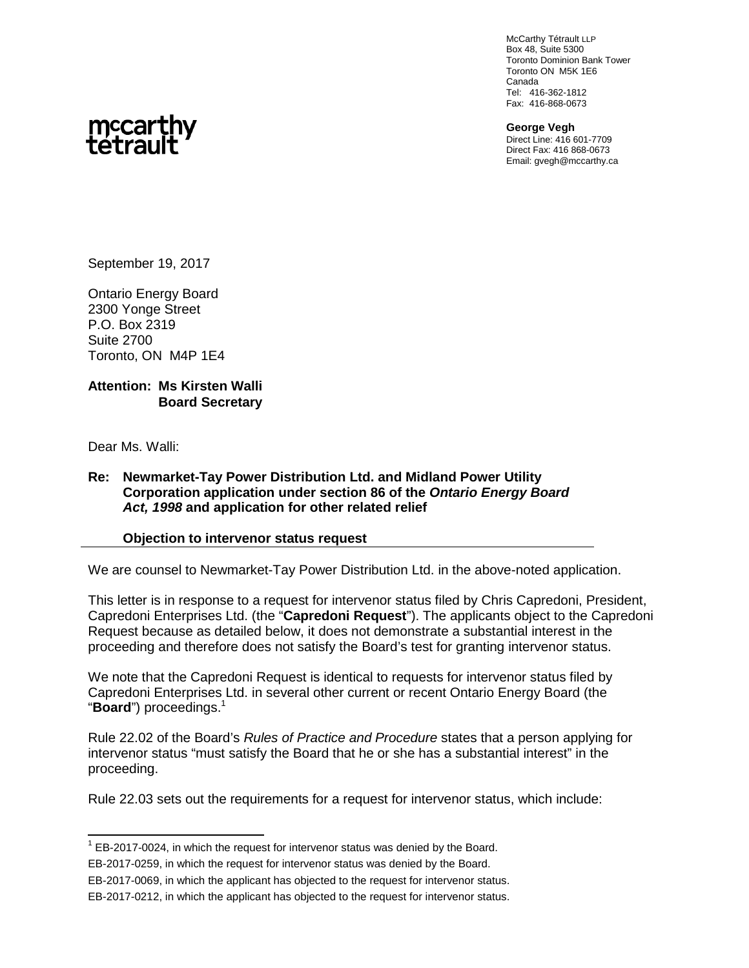McCarthy Tétrault LLP Box 48, Suite 5300 Toronto Dominion Bank Tower Toronto ON M5K 1E6 Canada Tel: 416-362-1812 Fax: 416-868-0673

**George Vegh** Direct Line: 416 601-7709 Direct Fax: 416 868-0673 Email: gvegh@mccarthy.ca



September 19, 2017

Ontario Energy Board 2300 Yonge Street P.O. Box 2319 Suite 2700 Toronto, ON M4P 1E4

#### **Attention: Ms Kirsten Walli Board Secretary**

Dear Ms. Walli:

#### **Re: Newmarket-Tay Power Distribution Ltd. and Midland Power Utility Corporation application under section 86 of the** *Ontario Energy Board Act, 1998* **and application for other related relief**

#### **Objection to intervenor status request**

We are counsel to Newmarket-Tay Power Distribution Ltd. in the above-noted application.

This letter is in response to a request for intervenor status filed by Chris Capredoni, President, Capredoni Enterprises Ltd. (the "**Capredoni Request**"). The applicants object to the Capredoni Request because as detailed below, it does not demonstrate a substantial interest in the proceeding and therefore does not satisfy the Board's test for granting intervenor status.

We note that the Capredoni Request is identical to requests for intervenor status filed by Capredoni Enterprises Ltd. in several other current or recent Ontario Energy Board (the "**Board**") proceedings.<sup>1</sup>

Rule 22.02 of the Board's *Rules of Practice and Procedure* states that a person applying for intervenor status "must satisfy the Board that he or she has a substantial interest" in the proceeding.

Rule 22.03 sets out the requirements for a request for intervenor status, which include:

 $1$  EB-2017-0024, in which the request for intervenor status was denied by the Board.

EB-2017-0259, in which the request for intervenor status was denied by the Board.

EB-2017-0069, in which the applicant has objected to the request for intervenor status.

EB-2017-0212, in which the applicant has objected to the request for intervenor status.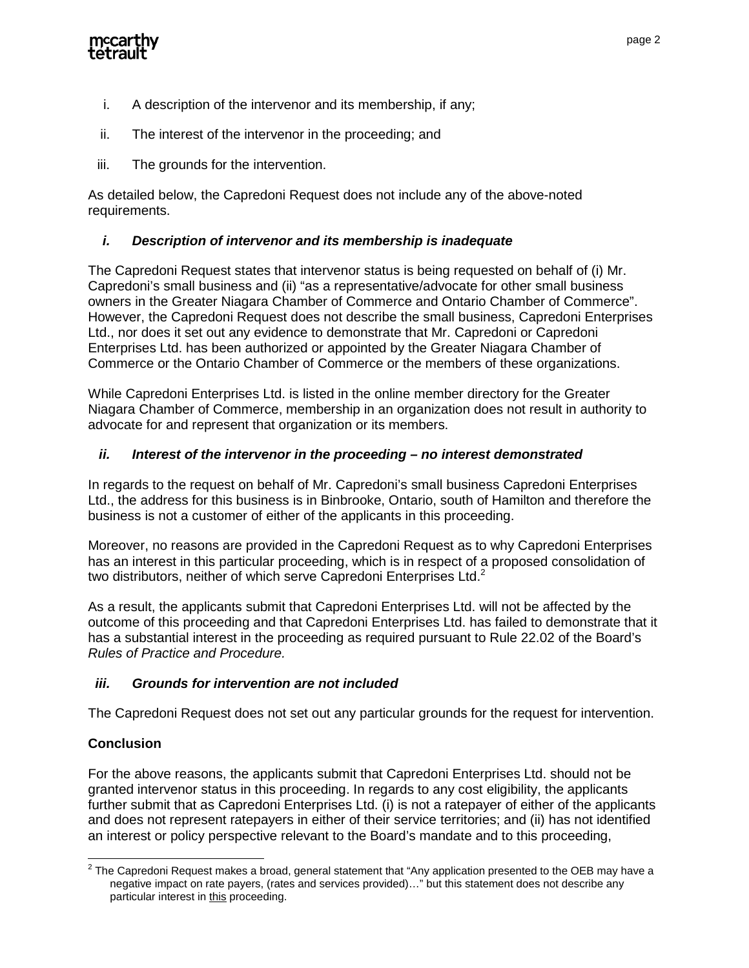

- i. A description of the intervenor and its membership, if any;
- ii. The interest of the intervenor in the proceeding; and
- iii. The grounds for the intervention.

As detailed below, the Capredoni Request does not include any of the above-noted requirements.

# *i. Description of intervenor and its membership is inadequate*

The Capredoni Request states that intervenor status is being requested on behalf of (i) Mr. Capredoni's small business and (ii) "as a representative/advocate for other small business owners in the Greater Niagara Chamber of Commerce and Ontario Chamber of Commerce". However, the Capredoni Request does not describe the small business, Capredoni Enterprises Ltd., nor does it set out any evidence to demonstrate that Mr. Capredoni or Capredoni Enterprises Ltd. has been authorized or appointed by the Greater Niagara Chamber of Commerce or the Ontario Chamber of Commerce or the members of these organizations.

While Capredoni Enterprises Ltd. is listed in the online member directory for the Greater Niagara Chamber of Commerce, membership in an organization does not result in authority to advocate for and represent that organization or its members.

## *ii. Interest of the intervenor in the proceeding – no interest demonstrated*

In regards to the request on behalf of Mr. Capredoni's small business Capredoni Enterprises Ltd., the address for this business is in Binbrooke, Ontario, south of Hamilton and therefore the business is not a customer of either of the applicants in this proceeding.

Moreover, no reasons are provided in the Capredoni Request as to why Capredoni Enterprises has an interest in this particular proceeding, which is in respect of a proposed consolidation of two distributors, neither of which serve Capredoni Enterprises Ltd.<sup>2</sup>

As a result, the applicants submit that Capredoni Enterprises Ltd. will not be affected by the outcome of this proceeding and that Capredoni Enterprises Ltd. has failed to demonstrate that it has a substantial interest in the proceeding as required pursuant to Rule 22.02 of the Board's *Rules of Practice and Procedure.*

## *iii. Grounds for intervention are not included*

The Capredoni Request does not set out any particular grounds for the request for intervention.

# **Conclusion**

For the above reasons, the applicants submit that Capredoni Enterprises Ltd. should not be granted intervenor status in this proceeding. In regards to any cost eligibility, the applicants further submit that as Capredoni Enterprises Ltd. (i) is not a ratepayer of either of the applicants and does not represent ratepayers in either of their service territories; and (ii) has not identified an interest or policy perspective relevant to the Board's mandate and to this proceeding,

 $^{\text{2}}$  The Capredoni Request makes a broad, general statement that "Any application presented to the OEB may have a negative impact on rate payers, (rates and services provided)…" but this statement does not describe any particular interest in this proceeding.